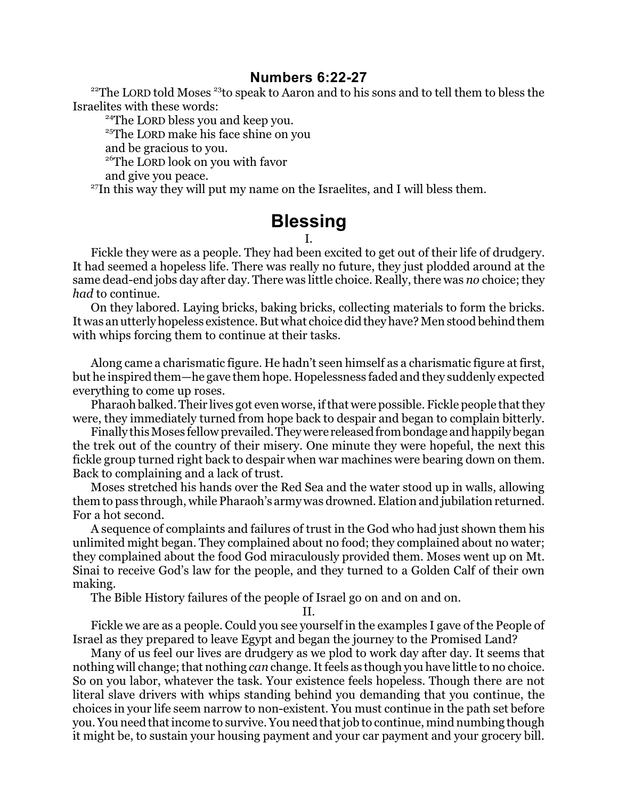## **Numbers 6:22-27**

<sup>22</sup>The LORD told Moses<sup>23</sup>to speak to Aaron and to his sons and to tell them to bless the Israelites with these words:

<sup>24</sup>The LORD bless you and keep you.

<sup>25</sup>The LORD make his face shine on you

and be gracious to you.

<sup>26</sup>The LORD look on you with favor

and give you peace.

<sup>27</sup>In this way they will put my name on the Israelites, and I will bless them.

## **Blessing**

## I.

Fickle they were as a people. They had been excited to get out of their life of drudgery. It had seemed a hopeless life. There was really no future, they just plodded around at the same dead-end jobs day after day. There was little choice. Really, there was *no* choice; they *had* to continue.

On they labored. Laying bricks, baking bricks, collecting materials to form the bricks. It was an utterly hopeless existence. But what choice did they have? Men stood behind them with whips forcing them to continue at their tasks.

Along came a charismatic figure. He hadn't seen himself as a charismatic figure at first, but he inspired them—he gave them hope. Hopelessness faded and they suddenly expected everything to come up roses.

Pharaoh balked. Their lives got even worse, if that were possible. Fickle people that they were, they immediately turned from hope back to despair and began to complain bitterly.

Finally this Moses fellow prevailed. They were released from bondage and happily began the trek out of the country of their misery. One minute they were hopeful, the next this fickle group turned right back to despair when war machines were bearing down on them. Back to complaining and a lack of trust.

Moses stretched his hands over the Red Sea and the water stood up in walls, allowing them to pass through, while Pharaoh's army was drowned. Elation and jubilation returned. For a hot second.

A sequence of complaints and failures of trust in the God who had just shown them his unlimited might began. They complained about no food; they complained about no water; they complained about the food God miraculously provided them. Moses went up on Mt. Sinai to receive God's law for the people, and they turned to a Golden Calf of their own making.

The Bible History failures of the people of Israel go on and on and on.

II.

Fickle we are as a people. Could you see yourself in the examples I gave of the People of Israel as they prepared to leave Egypt and began the journey to the Promised Land?

Many of us feel our lives are drudgery as we plod to work day after day. It seems that nothing will change; that nothing *can* change. It feels as though you have little to no choice. So on you labor, whatever the task. Your existence feels hopeless. Though there are not literal slave drivers with whips standing behind you demanding that you continue, the choices in your life seem narrow to non-existent. You must continue in the path set before you. You need that income to survive. You need that job to continue, mind numbing though it might be, to sustain your housing payment and your car payment and your grocery bill.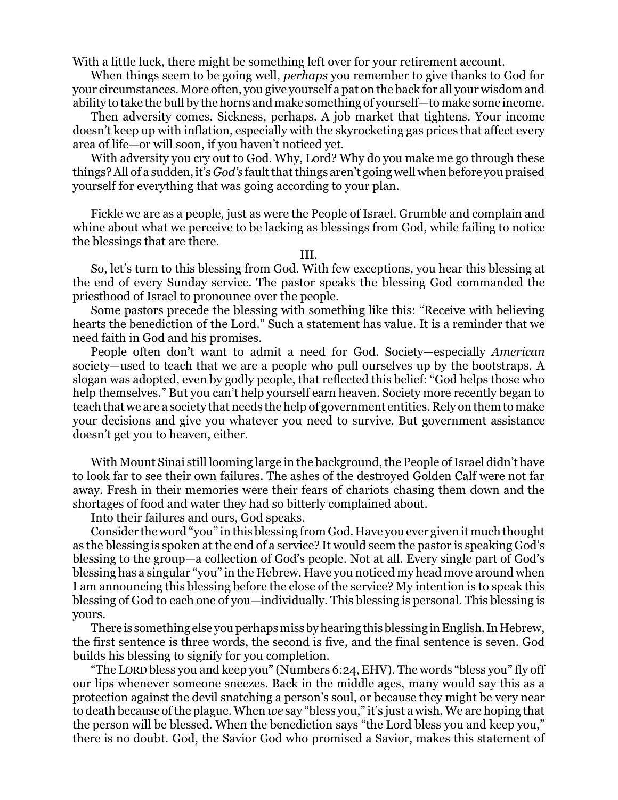With a little luck, there might be something left over for your retirement account.

When things seem to be going well, *perhaps* you remember to give thanks to God for your circumstances. More often, you give yourself a pat on the back for all your wisdom and ability to take the bull by the horns and make something of yourself—to make some income.

Then adversity comes. Sickness, perhaps. A job market that tightens. Your income doesn't keep up with inflation, especially with the skyrocketing gas prices that affect every area of life—or will soon, if you haven't noticed yet.

With adversity you cry out to God. Why, Lord? Why do you make me go through these things? All of a sudden, it's *God's* fault that things aren't going well when before you praised yourself for everything that was going according to your plan.

Fickle we are as a people, just as were the People of Israel. Grumble and complain and whine about what we perceive to be lacking as blessings from God, while failing to notice the blessings that are there.

III.

So, let's turn to this blessing from God. With few exceptions, you hear this blessing at the end of every Sunday service. The pastor speaks the blessing God commanded the priesthood of Israel to pronounce over the people.

Some pastors precede the blessing with something like this: "Receive with believing hearts the benediction of the Lord." Such a statement has value. It is a reminder that we need faith in God and his promises.

People often don't want to admit a need for God. Society—especially *American* society—used to teach that we are a people who pull ourselves up by the bootstraps. A slogan was adopted, even by godly people, that reflected this belief: "God helps those who help themselves." But you can't help yourself earn heaven. Society more recently began to teach that we are a society that needs the help of government entities. Rely on them to make your decisions and give you whatever you need to survive. But government assistance doesn't get you to heaven, either.

With Mount Sinai still looming large in the background, the People of Israel didn't have to look far to see their own failures. The ashes of the destroyed Golden Calf were not far away. Fresh in their memories were their fears of chariots chasing them down and the shortages of food and water they had so bitterly complained about.

Into their failures and ours, God speaks.

Consider the word "you" in this blessing from God. Have you ever given it much thought as the blessing is spoken at the end of a service? It would seem the pastor is speaking God's blessing to the group—a collection of God's people. Not at all. Every single part of God's blessing has a singular "you" in the Hebrew. Have you noticed my head move around when I am announcing this blessing before the close of the service? My intention is to speak this blessing of God to each one of you—individually. This blessing is personal. This blessing is yours.

There is something else you perhaps miss by hearing this blessing in English. In Hebrew, the first sentence is three words, the second is five, and the final sentence is seven. God builds his blessing to signify for you completion.

"The LORD bless you and keep you" (Numbers 6:24, EHV). The words "bless you" fly off our lips whenever someone sneezes. Back in the middle ages, many would say this as a protection against the devil snatching a person's soul, or because they might be very near to death because ofthe plague. When *we* say "bless you," it's just a wish. We are hoping that the person will be blessed. When the benediction says "the Lord bless you and keep you," there is no doubt. God, the Savior God who promised a Savior, makes this statement of